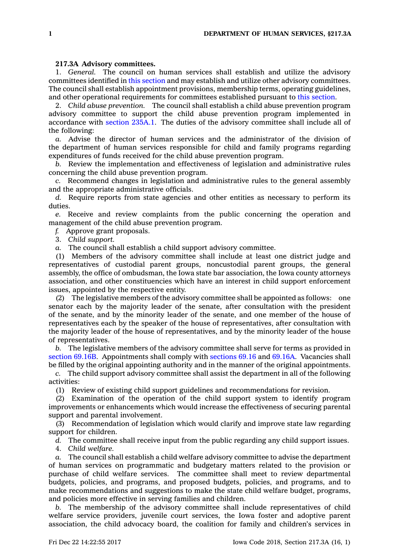## **217.3A Advisory committees.**

1. *General.* The council on human services shall establish and utilize the advisory committees identified in this [section](https://www.legis.iowa.gov/docs/code/217.3A.pdf) and may establish and utilize other advisory committees. The council shall establish appointment provisions, membership terms, operating guidelines, and other operational requirements for committees established pursuant to this [section](https://www.legis.iowa.gov/docs/code/217.3A.pdf).

2. *Child abuse prevention.* The council shall establish <sup>a</sup> child abuse prevention program advisory committee to support the child abuse prevention program implemented in accordance with [section](https://www.legis.iowa.gov/docs/code/235A.1.pdf) 235A.1. The duties of the advisory committee shall include all of the following:

*a.* Advise the director of human services and the administrator of the division of the department of human services responsible for child and family programs regarding expenditures of funds received for the child abuse prevention program.

*b.* Review the implementation and effectiveness of legislation and administrative rules concerning the child abuse prevention program.

*c.* Recommend changes in legislation and administrative rules to the general assembly and the appropriate administrative officials.

*d.* Require reports from state agencies and other entities as necessary to perform its duties.

*e.* Receive and review complaints from the public concerning the operation and management of the child abuse prevention program.

*f.* Approve grant proposals.

3. *Child support.*

*a.* The council shall establish <sup>a</sup> child support advisory committee.

(1) Members of the advisory committee shall include at least one district judge and representatives of custodial parent groups, noncustodial parent groups, the general assembly, the office of ombudsman, the Iowa state bar association, the Iowa county attorneys association, and other constituencies which have an interest in child support enforcement issues, appointed by the respective entity.

(2) The legislative members of the advisory committee shall be appointed as follows: one senator each by the majority leader of the senate, after consultation with the president of the senate, and by the minority leader of the senate, and one member of the house of representatives each by the speaker of the house of representatives, after consultation with the majority leader of the house of representatives, and by the minority leader of the house of representatives.

*b.* The legislative members of the advisory committee shall serve for terms as provided in [section](https://www.legis.iowa.gov/docs/code/69.16B.pdf) 69.16B. Appointments shall comply with [sections](https://www.legis.iowa.gov/docs/code/69.16.pdf) 69.16 and [69.16A](https://www.legis.iowa.gov/docs/code/69.16A.pdf). Vacancies shall be filled by the original appointing authority and in the manner of the original appointments.

*c.* The child support advisory committee shall assist the department in all of the following activities:

(1) Review of existing child support guidelines and recommendations for revision.

(2) Examination of the operation of the child support system to identify program improvements or enhancements which would increase the effectiveness of securing parental support and parental involvement.

(3) Recommendation of legislation which would clarify and improve state law regarding support for children.

*d.* The committee shall receive input from the public regarding any child support issues.

4. *Child welfare.*

*a.* The council shall establish <sup>a</sup> child welfare advisory committee to advise the department of human services on programmatic and budgetary matters related to the provision or purchase of child welfare services. The committee shall meet to review departmental budgets, policies, and programs, and proposed budgets, policies, and programs, and to make recommendations and suggestions to make the state child welfare budget, programs, and policies more effective in serving families and children.

*b.* The membership of the advisory committee shall include representatives of child welfare service providers, juvenile court services, the Iowa foster and adoptive parent association, the child advocacy board, the coalition for family and children's services in